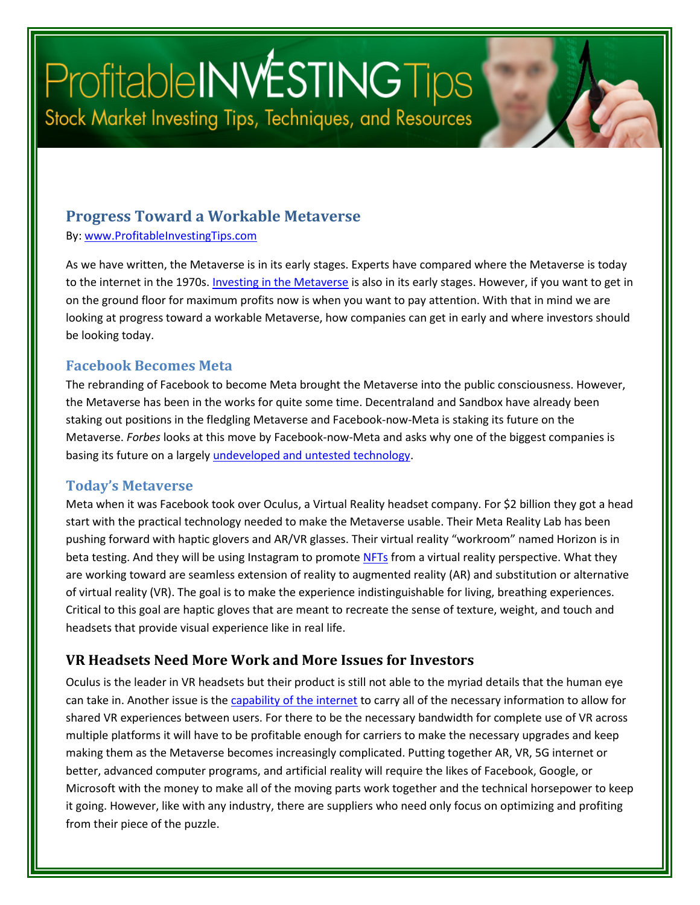# ProfitableINWESTINGTips Stock Market Investing Tips, Techniques, and Resources

#### **Progress Toward a Workable Metaverse**

By: [www.ProfitableInvestingTips.com](http://www.profitableinvestingtips.com/)

As we have written, the Metaverse is in its early stages. Experts have compared where the Metaverse is today to the internet in the 1970s. [Investing in the Metaverse](https://article.page/Vol454) is also in its early stages. However, if you want to get in on the ground floor for maximum profits now is when you want to pay attention. With that in mind we are looking at progress toward a workable Metaverse, how companies can get in early and where investors should be looking today.

#### **Facebook Becomes Meta**

The rebranding of Facebook to become Meta brought the Metaverse into the public consciousness. However, the Metaverse has been in the works for quite some time. Decentraland and Sandbox have already been staking out positions in the fledgling Metaverse and Facebook-now-Meta is staking its future on the Metaverse. *Forbes* looks at this move by Facebook-now-Meta and asks why one of the biggest companies is basing its future on a largely [undeveloped and untested technology.](hhttps://www.forbes.com/sites/forbesbusinesscouncil/2022/05/05/the-metaverses-progress-and-how-companies-can-get-involved/?sh=558a1dbc6a9c)

#### **Today's Metaverse**

Meta when it was Facebook took over Oculus, a Virtual Reality headset company. For \$2 billion they got a head start with the practical technology needed to make the Metaverse usable. Their Meta Reality Lab has been pushing forward with haptic glovers and AR/VR glasses. Their virtual reality "workroom" named Horizon is in beta testing. And they will be using Instagram to promot[e NFTs](https://article.page/Vol455) from a virtual reality perspective. What they are working toward are seamless extension of reality to augmented reality (AR) and substitution or alternative of virtual reality (VR). The goal is to make the experience indistinguishable for living, breathing experiences. Critical to this goal are haptic gloves that are meant to recreate the sense of texture, weight, and touch and headsets that provide visual experience like in real life.

#### **VR Headsets Need More Work and More Issues for Investors**

Oculus is the leader in VR headsets but their product is still not able to the myriad details that the human eye can take in. Another issue is the [capability of the internet](https://article.page/Vol456) to carry all of the necessary information to allow for shared VR experiences between users. For there to be the necessary bandwidth for complete use of VR across multiple platforms it will have to be profitable enough for carriers to make the necessary upgrades and keep making them as the Metaverse becomes increasingly complicated. Putting together AR, VR, 5G internet or better, advanced computer programs, and artificial reality will require the likes of Facebook, Google, or Microsoft with the money to make all of the moving parts work together and the technical horsepower to keep it going. However, like with any industry, there are suppliers who need only focus on optimizing and profiting from their piece of the puzzle.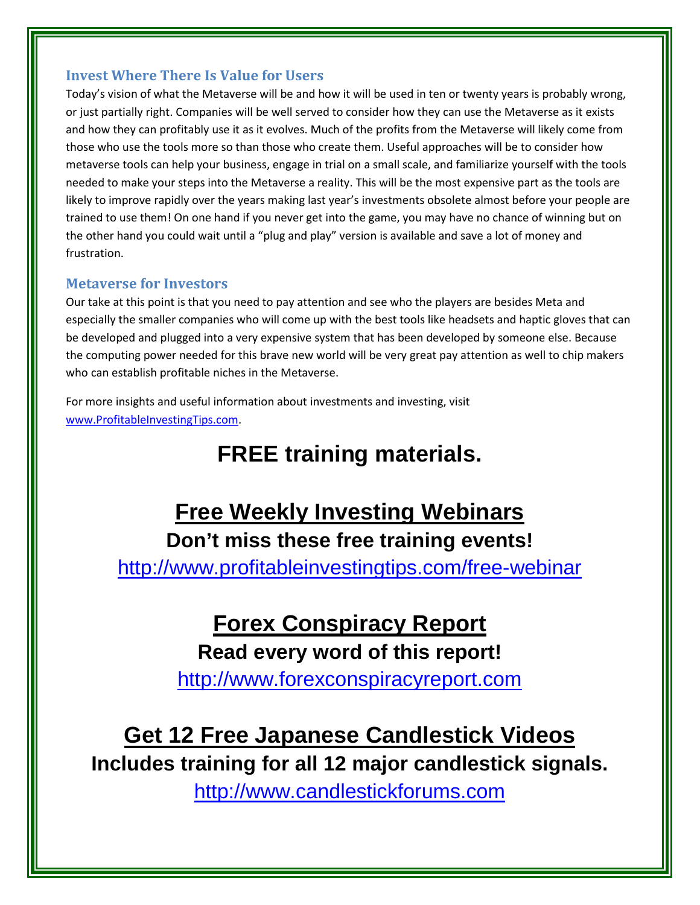#### **Invest Where There Is Value for Users**

Today's vision of what the Metaverse will be and how it will be used in ten or twenty years is probably wrong, or just partially right. Companies will be well served to consider how they can use the Metaverse as it exists and how they can profitably use it as it evolves. Much of the profits from the Metaverse will likely come from those who use the tools more so than those who create them. Useful approaches will be to consider how metaverse tools can help your business, engage in trial on a small scale, and familiarize yourself with the tools needed to make your steps into the Metaverse a reality. This will be the most expensive part as the tools are likely to improve rapidly over the years making last year's investments obsolete almost before your people are trained to use them! On one hand if you never get into the game, you may have no chance of winning but on the other hand you could wait until a "plug and play" version is available and save a lot of money and frustration.

#### **Metaverse for Investors**

Our take at this point is that you need to pay attention and see who the players are besides Meta and especially the smaller companies who will come up with the best tools like headsets and haptic gloves that can be developed and plugged into a very expensive system that has been developed by someone else. Because the computing power needed for this brave new world will be very great pay attention as well to chip makers who can establish profitable niches in the Metaverse.

For more insights and useful information about investments and investing, visit [www.ProfitableInvestingTips.com.](http://www.profitableinvestingtips.com/)

### **FREE training materials.**

### **Free Weekly Investing Webinars Don't miss these free training events!**

<http://www.profitableinvestingtips.com/free-webinar>

**Forex Conspiracy Report Read every word of this report!**

[http://www.forexconspiracyreport.com](http://www.forexconspiracyreport.com/)

## **Get 12 Free Japanese Candlestick Videos**

**Includes training for all 12 major candlestick signals.**

[http://www.candlestickforums.com](http://www.candlestickforums.com/)